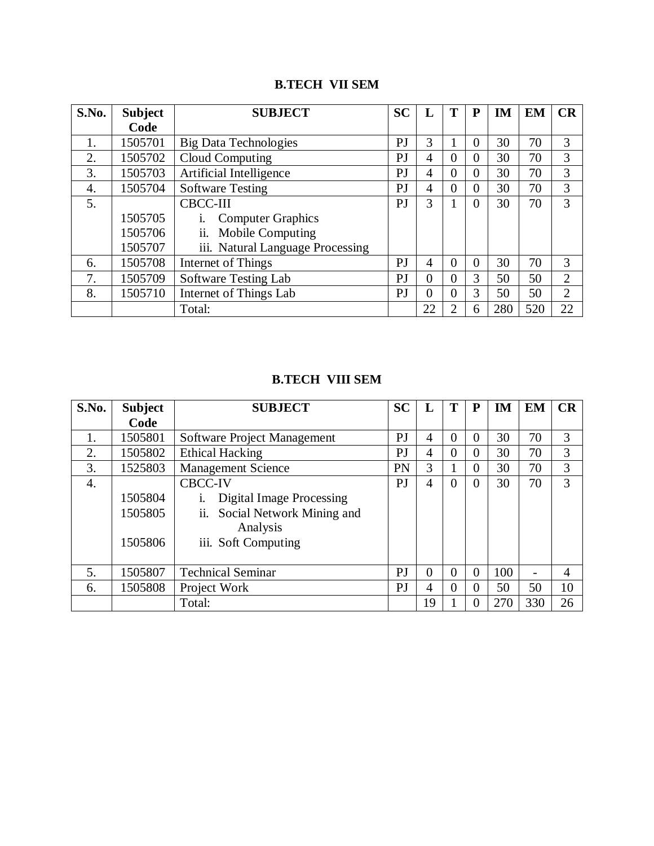## **B.TECH VII SEM**

| S.No. | <b>Subject</b> | <b>SUBJECT</b>                   | <b>SC</b> | L              | т              | P        | IM  | <b>EM</b> | CR             |
|-------|----------------|----------------------------------|-----------|----------------|----------------|----------|-----|-----------|----------------|
|       | Code           |                                  |           |                |                |          |     |           |                |
| 1.    | 1505701        | <b>Big Data Technologies</b>     | PJ        | 3              |                | $\Omega$ | 30  | 70        | 3              |
| 2.    | 1505702        | Cloud Computing                  | PJ        | 4              | $\Omega$       | $\Omega$ | 30  | 70        | 3              |
| 3.    | 1505703        | Artificial Intelligence          | PJ        | 4              | $\theta$       | $\Omega$ | 30  | 70        | 3              |
| 4.    | 1505704        | <b>Software Testing</b>          | PJ        | $\overline{4}$ | $\theta$       | $\Omega$ | 30  | 70        | 3              |
| 5.    |                | <b>CBCC-III</b>                  | PJ        | 3              |                | 0        | 30  | 70        | 3              |
|       | 1505705        | <b>Computer Graphics</b>         |           |                |                |          |     |           |                |
|       | 1505706        | ii. Mobile Computing             |           |                |                |          |     |           |                |
|       | 1505707        | iii. Natural Language Processing |           |                |                |          |     |           |                |
| 6.    | 1505708        | Internet of Things               | PJ        | $\overline{4}$ | $\Omega$       | $\Omega$ | 30  | 70        | 3              |
| 7.    | 1505709        | Software Testing Lab             | PJ        | $\theta$       | $\Omega$       | 3        | 50  | 50        | $\overline{2}$ |
| 8.    | 1505710        | Internet of Things Lab           | PJ        | $\theta$       | $\Omega$       | 3        | 50  | 50        | $\overline{2}$ |
|       |                | Total:                           |           | 22             | $\overline{2}$ | 6        | 280 | 520       | 22             |

## **B.TECH VIII SEM**

| S.No. | <b>Subject</b>                | <b>SUBJECT</b>                                                                                                        | <b>SC</b>      | L              | Т        | P        | IM  | <b>EM</b> | CR             |
|-------|-------------------------------|-----------------------------------------------------------------------------------------------------------------------|----------------|----------------|----------|----------|-----|-----------|----------------|
|       | Code                          |                                                                                                                       |                |                |          |          |     |           |                |
| 1.    | 1505801                       | Software Project Management                                                                                           | PJ             | $\overline{4}$ | $\Omega$ | $\Omega$ | 30  | 70        | 3              |
| 2.    | 1505802                       | <b>Ethical Hacking</b>                                                                                                | PJ             | 4              | $\theta$ | $\Omega$ | 30  | 70        | 3              |
| 3.    | 1525803                       | <b>Management Science</b>                                                                                             | PN             | 3              |          | 0        | 30  | 70        | 3              |
| 4.    | 1505804<br>1505805<br>1505806 | <b>CBCC-IV</b><br><b>Digital Image Processing</b><br>ii. Social Network Mining and<br>Analysis<br>iii. Soft Computing | P <sub>J</sub> | $\overline{4}$ | $\Omega$ | $\Omega$ | 30  | 70        | 3              |
| 5.    | 1505807                       | <b>Technical Seminar</b>                                                                                              | PJ             | $\theta$       | $\Omega$ | $\theta$ | 100 |           | $\overline{4}$ |
| 6.    | 1505808                       | Project Work                                                                                                          | PJ             | 4              | $\Omega$ | 0        | 50  | 50        | 10             |
|       |                               | Total:                                                                                                                |                | 19             |          | 0        | 270 | 330       | 26             |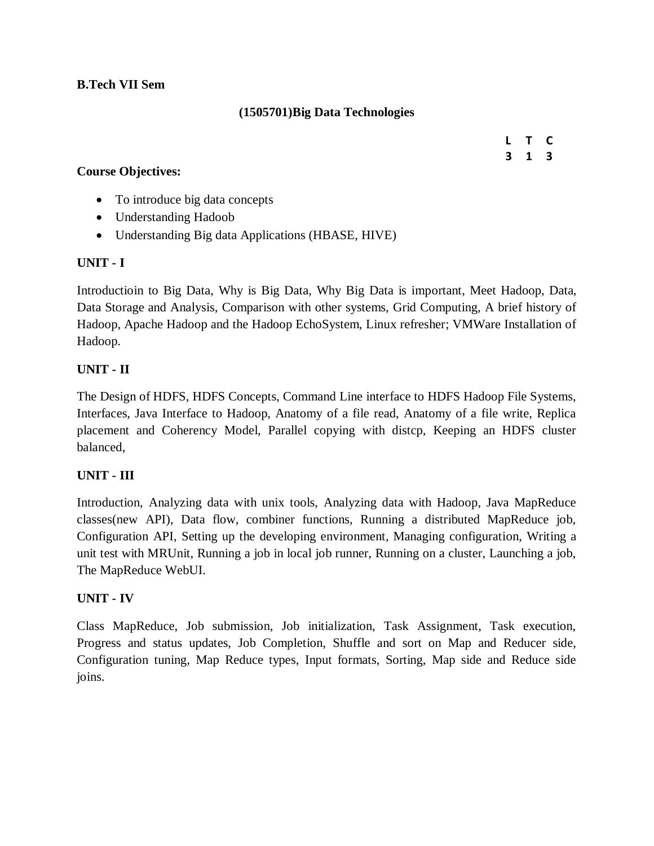## **B.Tech VII Sem**

## **(1505701)Big Data Technologies**

## **Course Objectives:**

**L T C 3 1 3**

- To introduce big data concepts
- Understanding Hadoob
- Understanding Big data Applications (HBASE, HIVE)

### **UNIT - I**

Introductioin to Big Data, Why is Big Data, Why Big Data is important, Meet Hadoop, Data, Data Storage and Analysis, Comparison with other systems, Grid Computing, A brief history of Hadoop, Apache Hadoop and the Hadoop EchoSystem, Linux refresher; VMWare Installation of Hadoop.

## **UNIT - II**

The Design of HDFS, HDFS Concepts, Command Line interface to HDFS Hadoop File Systems, Interfaces, Java Interface to Hadoop, Anatomy of a file read, Anatomy of a file write, Replica placement and Coherency Model, Parallel copying with distcp, Keeping an HDFS cluster balanced,

### **UNIT - III**

Introduction, Analyzing data with unix tools, Analyzing data with Hadoop, Java MapReduce classes(new API), Data flow, combiner functions, Running a distributed MapReduce job, Configuration API, Setting up the developing environment, Managing configuration, Writing a unit test with MRUnit, Running a job in local job runner, Running on a cluster, Launching a job, The MapReduce WebUI.

### **UNIT - IV**

Class MapReduce, Job submission, Job initialization, Task Assignment, Task execution, Progress and status updates, Job Completion, Shuffle and sort on Map and Reducer side, Configuration tuning, Map Reduce types, Input formats, Sorting, Map side and Reduce side joins.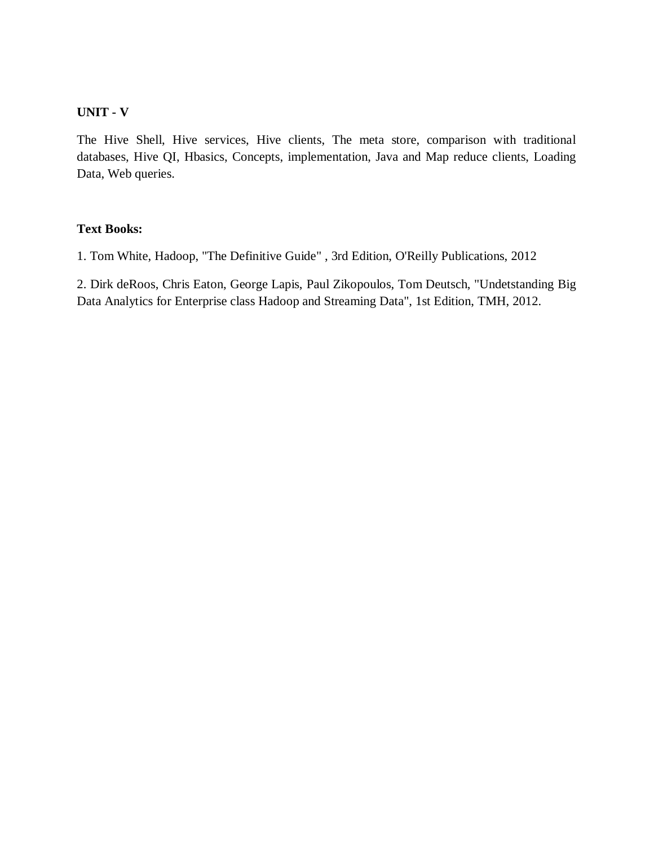### **UNIT - V**

The Hive Shell, Hive services, Hive clients, The meta store, comparison with traditional databases, Hive QI, Hbasics, Concepts, implementation, Java and Map reduce clients, Loading Data, Web queries.

### **Text Books:**

1. Tom White, Hadoop, "The Definitive Guide" , 3rd Edition, O'Reilly Publications, 2012

2. Dirk deRoos, Chris Eaton, George Lapis, Paul Zikopoulos, Tom Deutsch, "Undetstanding Big Data Analytics for Enterprise class Hadoop and Streaming Data", 1st Edition, TMH, 2012.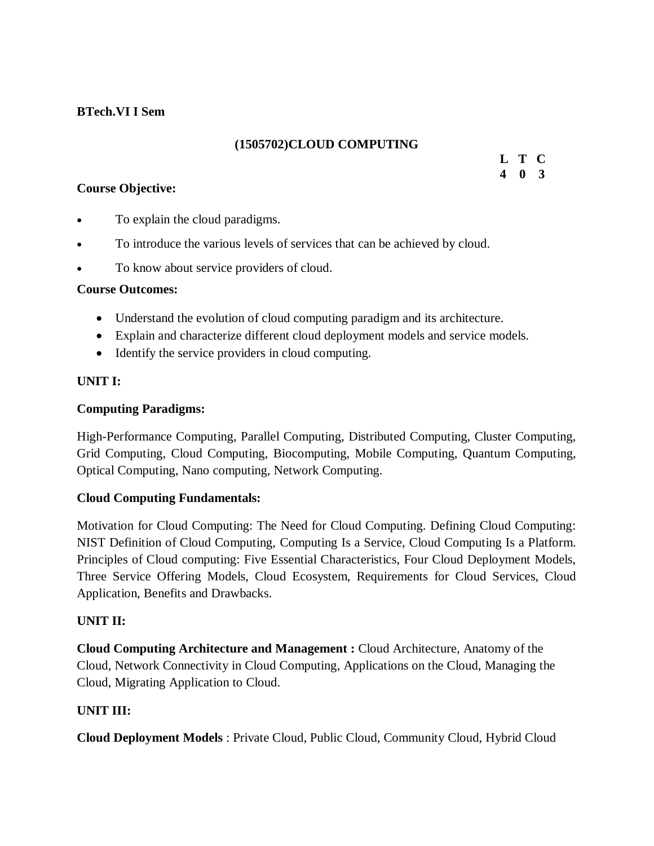## **BTech.VI I Sem**

## **(1505702)CLOUD COMPUTING**

## **Course Objective:**

**L T C 4 0 3**

- To explain the cloud paradigms.
- To introduce the various levels of services that can be achieved by cloud.
- To know about service providers of cloud.

## **Course Outcomes:**

- Understand the evolution of cloud computing paradigm and its architecture.
- Explain and characterize different cloud deployment models and service models.
- Identify the service providers in cloud computing.

## **UNIT I:**

## **Computing Paradigms:**

High-Performance Computing, Parallel Computing, Distributed Computing, Cluster Computing, Grid Computing, Cloud Computing, Biocomputing, Mobile Computing, Quantum Computing, Optical Computing, Nano computing, Network Computing.

## **Cloud Computing Fundamentals:**

Motivation for Cloud Computing: The Need for Cloud Computing. Defining Cloud Computing: NIST Definition of Cloud Computing, Computing Is a Service, Cloud Computing Is a Platform. Principles of Cloud computing: Five Essential Characteristics, Four Cloud Deployment Models, Three Service Offering Models, Cloud Ecosystem, Requirements for Cloud Services, Cloud Application, Benefits and Drawbacks.

## **UNIT II:**

**Cloud Computing Architecture and Management :** Cloud Architecture, Anatomy of the Cloud, Network Connectivity in Cloud Computing, Applications on the Cloud, Managing the Cloud, Migrating Application to Cloud.

## **UNIT III:**

**Cloud Deployment Models** : Private Cloud, Public Cloud, Community Cloud, Hybrid Cloud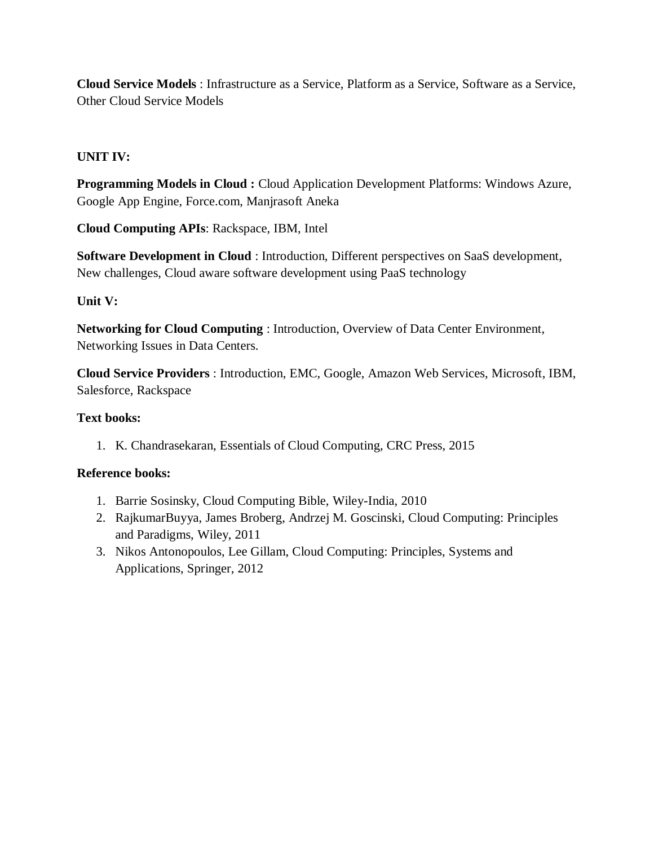**Cloud Service Models** : Infrastructure as a Service, Platform as a Service, Software as a Service, Other Cloud Service Models

## **UNIT IV:**

**Programming Models in Cloud :** Cloud Application Development Platforms: Windows Azure, Google App Engine, Force.com, Manjrasoft Aneka

**Cloud Computing APIs**: Rackspace, IBM, Intel

**Software Development in Cloud** : Introduction, Different perspectives on SaaS development, New challenges, Cloud aware software development using PaaS technology

## **Unit V:**

**Networking for Cloud Computing** : Introduction, Overview of Data Center Environment, Networking Issues in Data Centers.

**Cloud Service Providers** : Introduction, EMC, Google, Amazon Web Services, Microsoft, IBM, Salesforce, Rackspace

## **Text books:**

1. K. Chandrasekaran, Essentials of Cloud Computing, CRC Press, 2015

## **Reference books:**

- 1. Barrie Sosinsky, Cloud Computing Bible, Wiley-India, 2010
- 2. RajkumarBuyya, James Broberg, Andrzej M. Goscinski, Cloud Computing: Principles and Paradigms, Wiley, 2011
- 3. Nikos Antonopoulos, Lee Gillam, Cloud Computing: Principles, Systems and Applications, Springer, 2012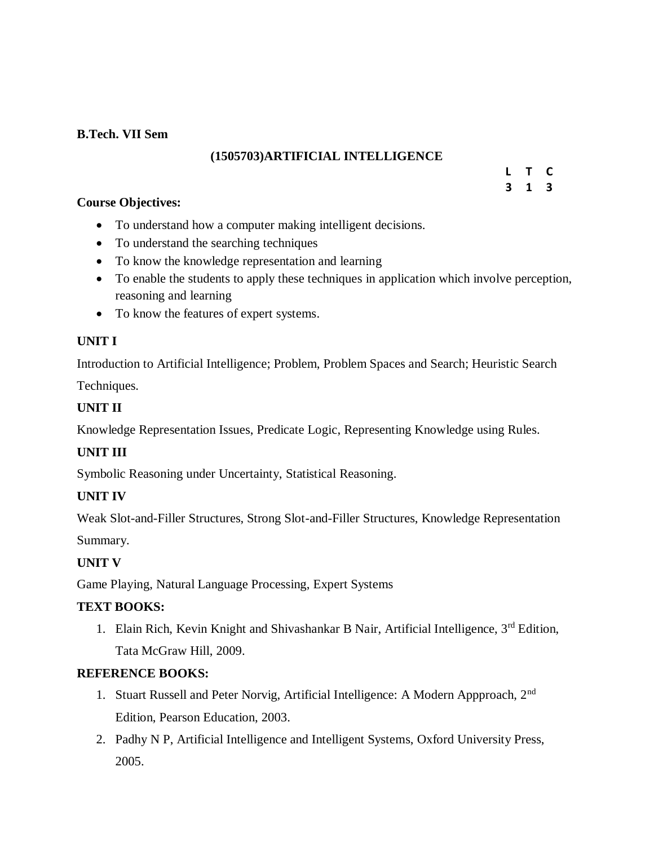## **B.Tech. VII Sem**

## **(1505703)ARTIFICIAL INTELLIGENCE**

#### **L T C 3 1 3**

## **Course Objectives:**

- To understand how a computer making intelligent decisions.
- To understand the searching techniques
- To know the knowledge representation and learning
- To enable the students to apply these techniques in application which involve perception, reasoning and learning
- To know the features of expert systems.

## **UNIT I**

Introduction to Artificial Intelligence; Problem, Problem Spaces and Search; Heuristic Search

Techniques.

## **UNIT II**

Knowledge Representation Issues, Predicate Logic, Representing Knowledge using Rules.

## **UNIT III**

Symbolic Reasoning under Uncertainty, Statistical Reasoning.

## **UNIT IV**

Weak Slot-and-Filler Structures, Strong Slot-and-Filler Structures, Knowledge Representation

Summary.

## **UNIT V**

Game Playing, Natural Language Processing, Expert Systems

## **TEXT BOOKS:**

1. Elain Rich, Kevin Knight and Shivashankar B Nair, Artificial Intelligence, 3<sup>rd</sup> Edition, Tata McGraw Hill, 2009.

## **REFERENCE BOOKS:**

- 1. Stuart Russell and Peter Norvig, Artificial Intelligence: A Modern Appproach, 2nd Edition, Pearson Education, 2003.
- 2. Padhy N P, Artificial Intelligence and Intelligent Systems, Oxford University Press, 2005.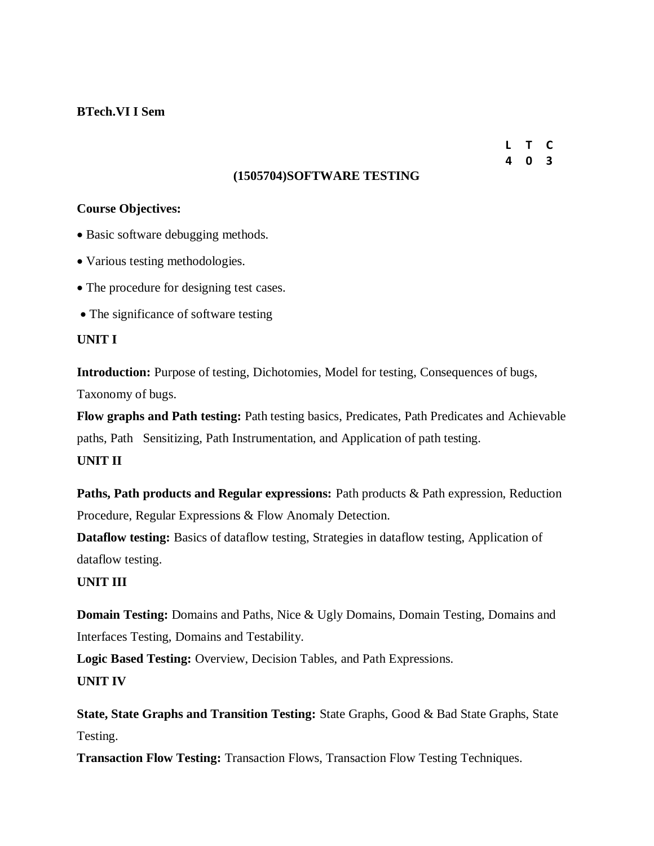### **BTech.VI I Sem**

**L T C 4 0 3**

### **(1505704)SOFTWARE TESTING**

### **Course Objectives:**

- Basic software debugging methods.
- Various testing methodologies.
- The procedure for designing test cases.
- The significance of software testing

### **UNIT I**

**Introduction:** Purpose of testing, Dichotomies, Model for testing, Consequences of bugs, Taxonomy of bugs.

**Flow graphs and Path testing:** Path testing basics, Predicates, Path Predicates and Achievable paths, Path Sensitizing, Path Instrumentation, and Application of path testing.

## **UNIT II**

**Paths, Path products and Regular expressions:** Path products & Path expression, Reduction Procedure, Regular Expressions & Flow Anomaly Detection.

**Dataflow testing:** Basics of dataflow testing, Strategies in dataflow testing, Application of dataflow testing.

### **UNIT III**

**Domain Testing:** Domains and Paths, Nice & Ugly Domains, Domain Testing, Domains and Interfaces Testing, Domains and Testability.

**Logic Based Testing:** Overview, Decision Tables, and Path Expressions.

## **UNIT IV**

**State, State Graphs and Transition Testing:** State Graphs, Good & Bad State Graphs, State Testing.

**Transaction Flow Testing:** Transaction Flows, Transaction Flow Testing Techniques.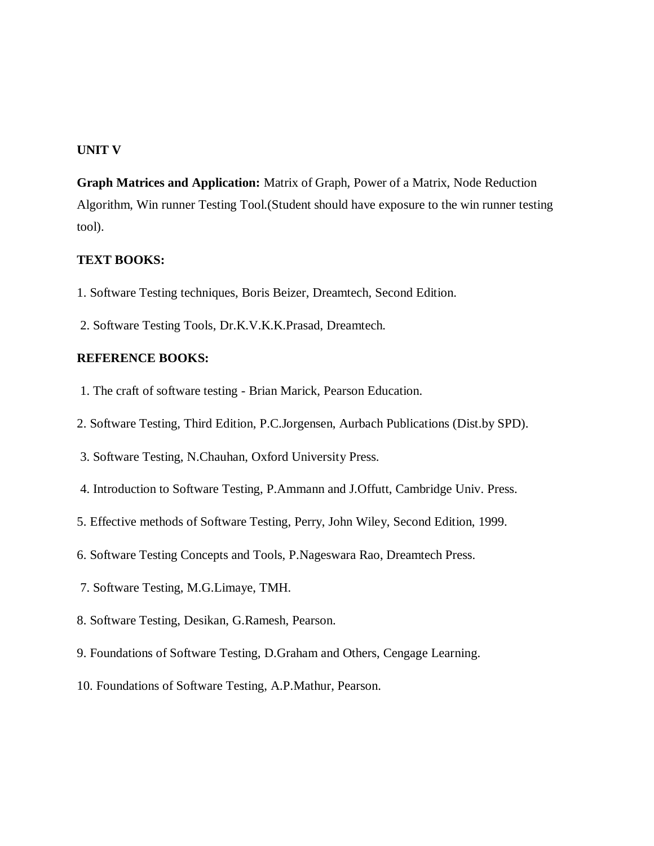### **UNIT V**

**Graph Matrices and Application:** Matrix of Graph, Power of a Matrix, Node Reduction Algorithm, Win runner Testing Tool.(Student should have exposure to the win runner testing tool).

### **TEXT BOOKS:**

- 1. Software Testing techniques, Boris Beizer, Dreamtech, Second Edition.
- 2. Software Testing Tools, Dr.K.V.K.K.Prasad, Dreamtech.

### **REFERENCE BOOKS:**

- 1. The craft of software testing Brian Marick, Pearson Education.
- 2. Software Testing, Third Edition, P.C.Jorgensen, Aurbach Publications (Dist.by SPD).
- 3. Software Testing, N.Chauhan, Oxford University Press.
- 4. Introduction to Software Testing, P.Ammann and J.Offutt, Cambridge Univ. Press.
- 5. Effective methods of Software Testing, Perry, John Wiley, Second Edition, 1999.
- 6. Software Testing Concepts and Tools, P.Nageswara Rao, Dreamtech Press.
- 7. Software Testing, M.G.Limaye, TMH.
- 8. Software Testing, Desikan, G.Ramesh, Pearson.
- 9. Foundations of Software Testing, D.Graham and Others, Cengage Learning.
- 10. Foundations of Software Testing, A.P.Mathur, Pearson.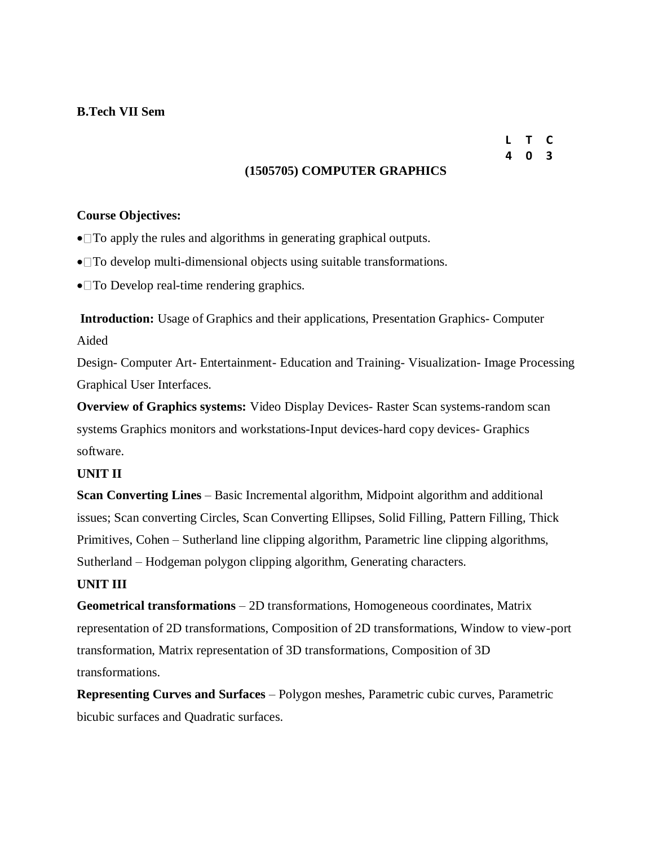## **B.Tech VII Sem**

## **L T C 4 0 3**

### **(1505705) COMPUTER GRAPHICS**

### **Course Objectives:**

- To apply the rules and algorithms in generating graphical outputs.
- To develop multi-dimensional objects using suitable transformations.
- To Develop real-time rendering graphics.

**Introduction:** Usage of Graphics and their applications, Presentation Graphics- Computer Aided

Design- Computer Art- Entertainment- Education and Training- Visualization- Image Processing Graphical User Interfaces.

**Overview of Graphics systems:** Video Display Devices- Raster Scan systems-random scan systems Graphics monitors and workstations-Input devices-hard copy devices- Graphics software.

### **UNIT II**

**Scan Converting Lines** – Basic Incremental algorithm, Midpoint algorithm and additional issues; Scan converting Circles, Scan Converting Ellipses, Solid Filling, Pattern Filling, Thick Primitives, Cohen – Sutherland line clipping algorithm, Parametric line clipping algorithms, Sutherland – Hodgeman polygon clipping algorithm, Generating characters.

### **UNIT III**

**Geometrical transformations** – 2D transformations, Homogeneous coordinates, Matrix representation of 2D transformations, Composition of 2D transformations, Window to view-port transformation, Matrix representation of 3D transformations, Composition of 3D transformations.

**Representing Curves and Surfaces** – Polygon meshes, Parametric cubic curves, Parametric bicubic surfaces and Quadratic surfaces.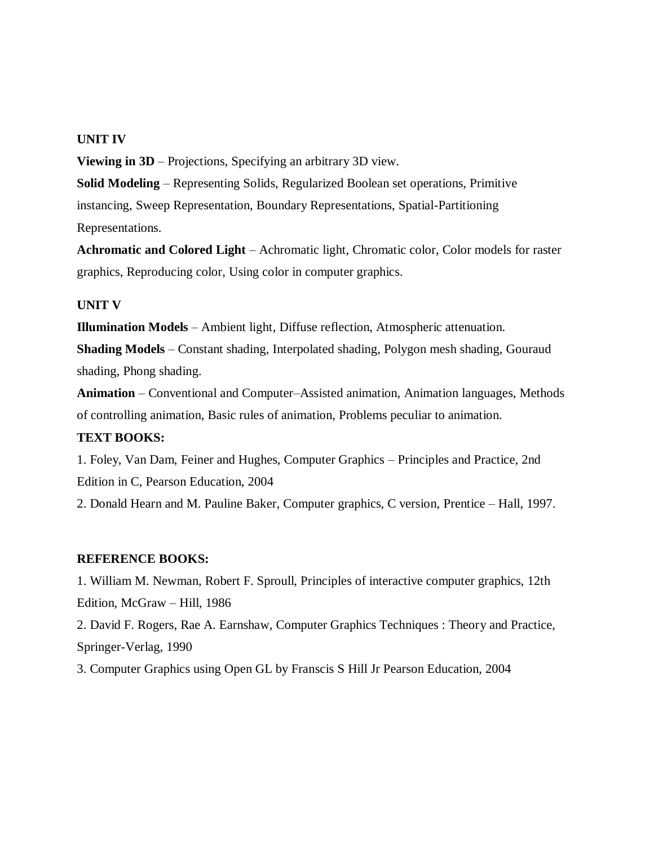### **UNIT IV**

**Viewing in 3D** – Projections, Specifying an arbitrary 3D view.

**Solid Modeling** – Representing Solids, Regularized Boolean set operations, Primitive instancing, Sweep Representation, Boundary Representations, Spatial-Partitioning Representations.

**Achromatic and Colored Light** – Achromatic light, Chromatic color, Color models for raster graphics, Reproducing color, Using color in computer graphics.

#### **UNIT V**

**Illumination Models** – Ambient light, Diffuse reflection, Atmospheric attenuation.

**Shading Models** – Constant shading, Interpolated shading, Polygon mesh shading, Gouraud shading, Phong shading.

**Animation** – Conventional and Computer–Assisted animation, Animation languages, Methods of controlling animation, Basic rules of animation, Problems peculiar to animation.

### **TEXT BOOKS:**

1. Foley, Van Dam, Feiner and Hughes, Computer Graphics – Principles and Practice, 2nd Edition in C, Pearson Education, 2004

2. Donald Hearn and M. Pauline Baker, Computer graphics, C version, Prentice – Hall, 1997.

#### **REFERENCE BOOKS:**

1. William M. Newman, Robert F. Sproull, Principles of interactive computer graphics, 12th Edition, McGraw – Hill, 1986

2. David F. Rogers, Rae A. Earnshaw, Computer Graphics Techniques : Theory and Practice, Springer-Verlag, 1990

3. Computer Graphics using Open GL by Franscis S Hill Jr Pearson Education, 2004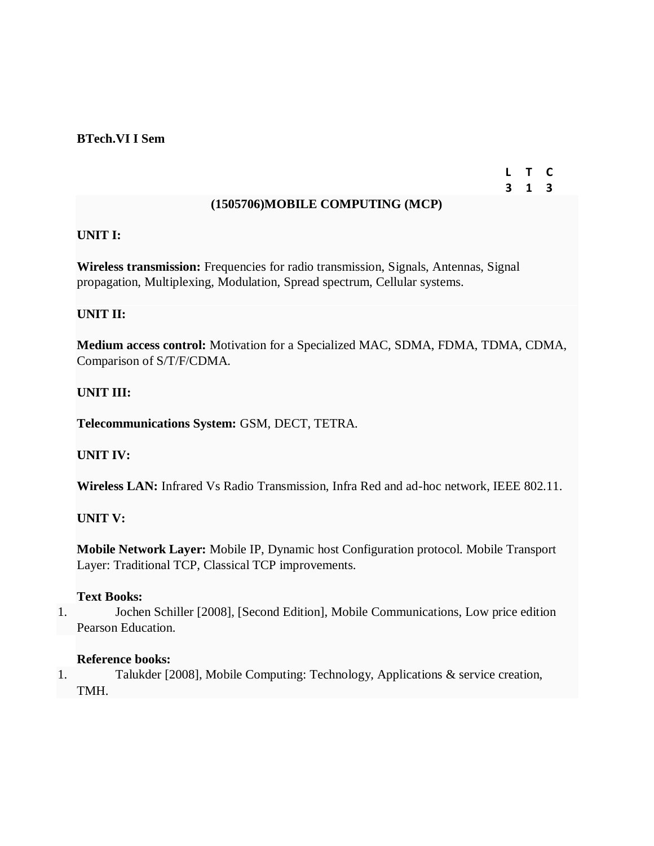### **BTech.VI I Sem**

## **L T C 3 1 3**

## **(1505706)MOBILE COMPUTING (MCP)**

## **UNIT I:**

**Wireless transmission:** Frequencies for radio transmission, Signals, Antennas, Signal propagation, Multiplexing, Modulation, Spread spectrum, Cellular systems.

## **UNIT II:**

**Medium access control:** Motivation for a Specialized MAC, SDMA, FDMA, TDMA, CDMA, Comparison of S/T/F/CDMA.

## **UNIT III:**

**Telecommunications System:** GSM, DECT, TETRA.

## **UNIT IV:**

**Wireless LAN:** Infrared Vs Radio Transmission, Infra Red and ad-hoc network, IEEE 802.11.

## **UNIT V:**

**Mobile Network Layer:** Mobile IP, Dynamic host Configuration protocol. Mobile Transport Layer: Traditional TCP, Classical TCP improvements.

### **Text Books:**

1. Jochen Schiller [2008], [Second Edition], Mobile Communications, Low price edition Pearson Education.

### **Reference books:**

1. Talukder [2008], Mobile Computing: Technology, Applications & service creation, TMH.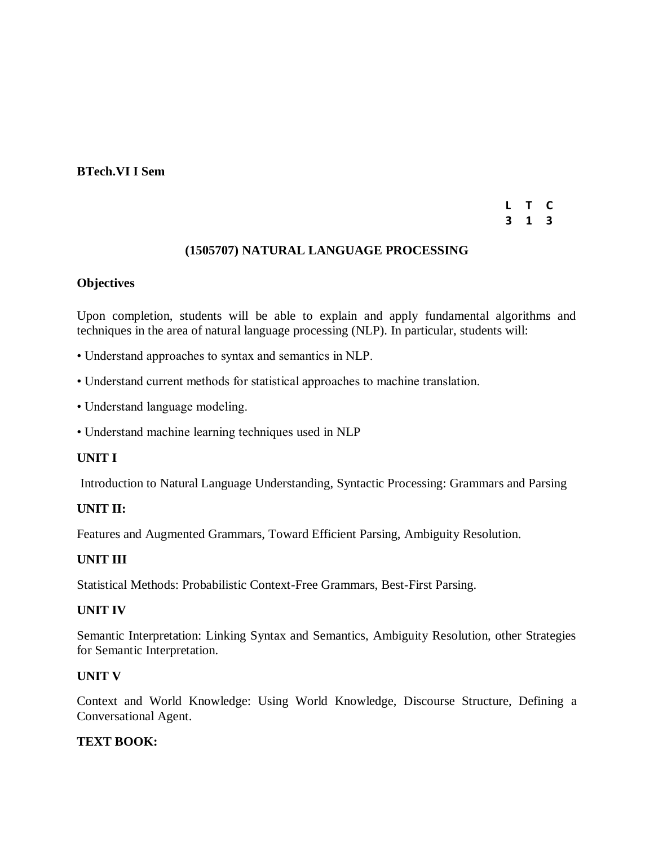### **BTech.VI I Sem**

### **L T C 3 1 3**

## **(1505707) NATURAL LANGUAGE PROCESSING**

### **Objectives**

Upon completion, students will be able to explain and apply fundamental algorithms and techniques in the area of natural language processing (NLP). In particular, students will:

- Understand approaches to syntax and semantics in NLP.
- Understand current methods for statistical approaches to machine translation.
- Understand language modeling.
- Understand machine learning techniques used in NLP

## **UNIT I**

Introduction to Natural Language Understanding, Syntactic Processing: Grammars and Parsing

### **UNIT II:**

Features and Augmented Grammars, Toward Efficient Parsing, Ambiguity Resolution.

## **UNIT III**

Statistical Methods: Probabilistic Context-Free Grammars, Best-First Parsing.

### **UNIT IV**

Semantic Interpretation: Linking Syntax and Semantics, Ambiguity Resolution, other Strategies for Semantic Interpretation.

### **UNIT V**

Context and World Knowledge: Using World Knowledge, Discourse Structure, Defining a Conversational Agent.

## **TEXT BOOK:**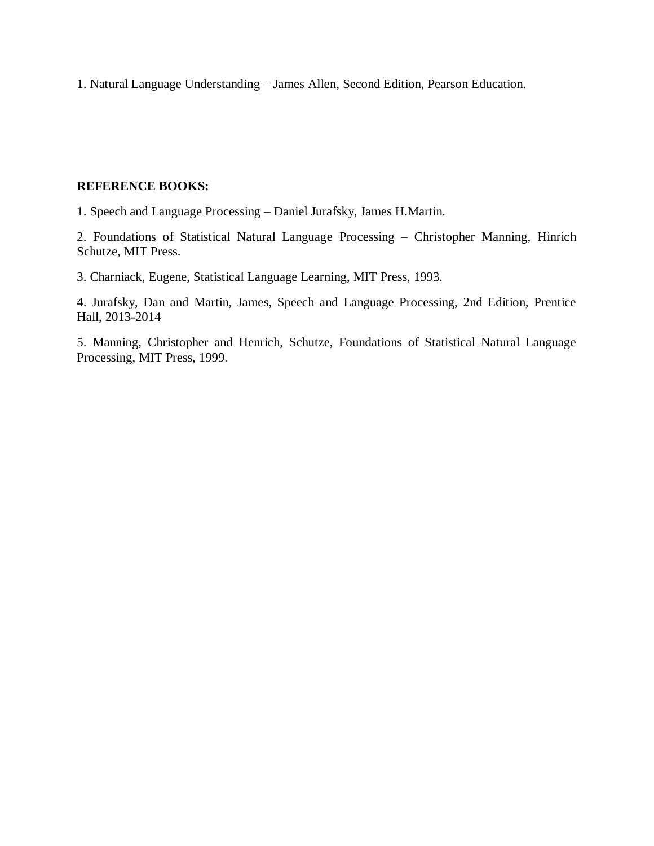1. Natural Language Understanding – James Allen, Second Edition, Pearson Education.

## **REFERENCE BOOKS:**

1. Speech and Language Processing – Daniel Jurafsky, James H.Martin.

2. Foundations of Statistical Natural Language Processing – Christopher Manning, Hinrich Schutze, MIT Press.

3. Charniack, Eugene, Statistical Language Learning, MIT Press, 1993.

4. Jurafsky, Dan and Martin, James, Speech and Language Processing, 2nd Edition, Prentice Hall, 2013-2014

5. Manning, Christopher and Henrich, Schutze, Foundations of Statistical Natural Language Processing, MIT Press, 1999.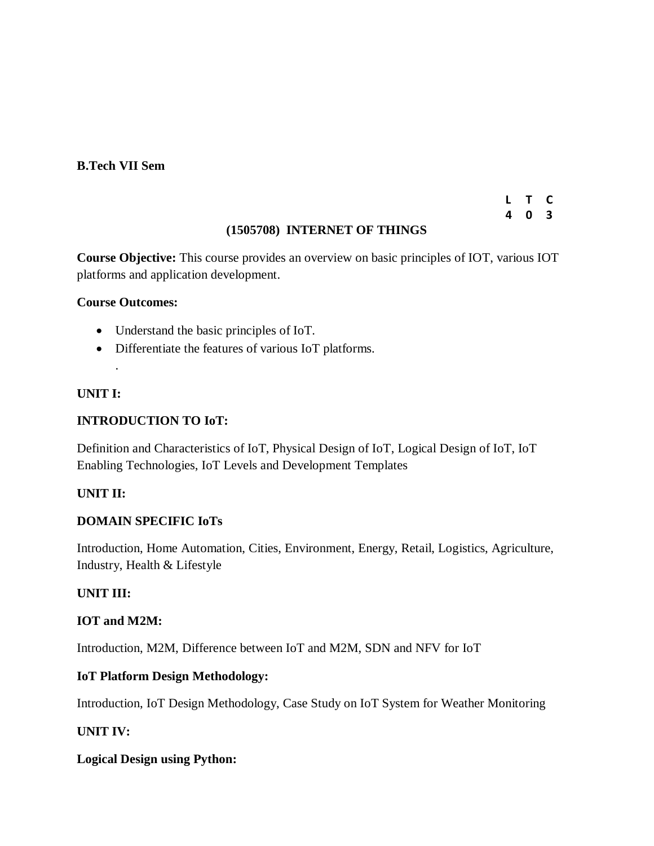### **B.Tech VII Sem**

## **L T C 4 0 3**

## **(1505708) INTERNET OF THINGS**

**Course Objective:** This course provides an overview on basic principles of IOT, various IOT platforms and application development.

## **Course Outcomes:**

- Understand the basic principles of IoT.
- Differentiate the features of various IoT platforms.

## **UNIT I:**

.

## **INTRODUCTION TO IoT:**

Definition and Characteristics of IoT, Physical Design of IoT, Logical Design of IoT, IoT Enabling Technologies, IoT Levels and Development Templates

## **UNIT II:**

### **DOMAIN SPECIFIC IoTs**

Introduction, Home Automation, Cities, Environment, Energy, Retail, Logistics, Agriculture, Industry, Health & Lifestyle

## **UNIT III:**

### **IOT and M2M:**

Introduction, M2M, Difference between IoT and M2M, SDN and NFV for IoT

### **IoT Platform Design Methodology:**

Introduction, IoT Design Methodology, Case Study on IoT System for Weather Monitoring

## **UNIT IV:**

### **Logical Design using Python:**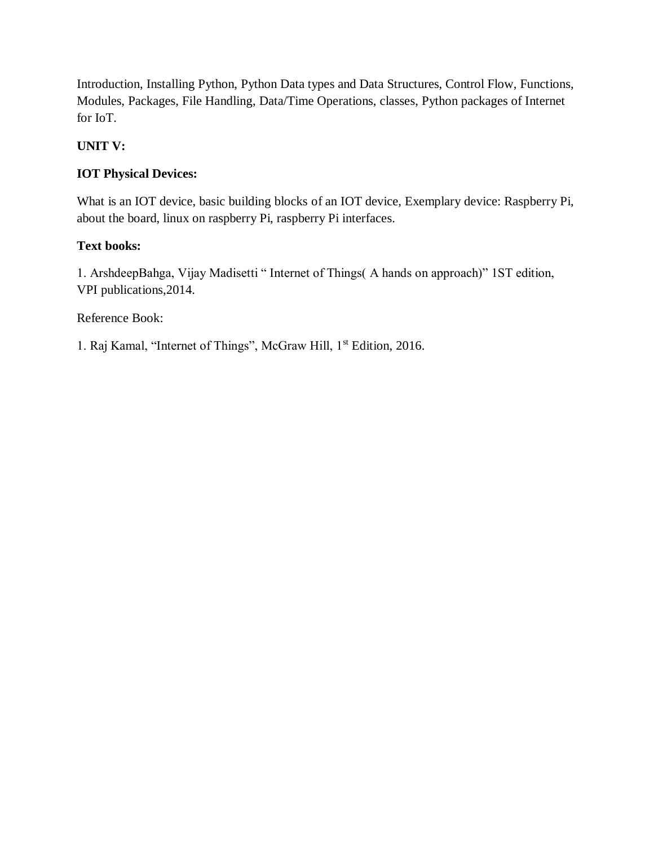Introduction, Installing Python, Python Data types and Data Structures, Control Flow, Functions, Modules, Packages, File Handling, Data/Time Operations, classes, Python packages of Internet for IoT.

## **UNIT V:**

## **IOT Physical Devices:**

What is an IOT device, basic building blocks of an IOT device, Exemplary device: Raspberry Pi, about the board, linux on raspberry Pi, raspberry Pi interfaces.

## **Text books:**

1. ArshdeepBahga, Vijay Madisetti " Internet of Things( A hands on approach)" 1ST edition, VPI publications,2014.

Reference Book:

1. Raj Kamal, "Internet of Things", McGraw Hill, 1st Edition, 2016.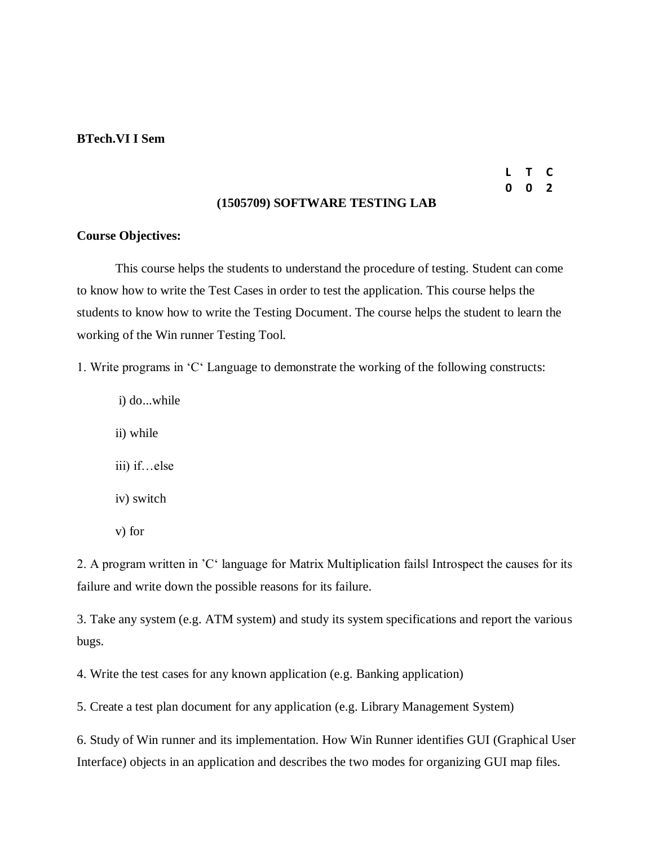#### **BTech.VI I Sem**

## **L T C 0 0 2**

### **(1505709) SOFTWARE TESTING LAB**

### **Course Objectives:**

This course helps the students to understand the procedure of testing. Student can come to know how to write the Test Cases in order to test the application. This course helps the students to know how to write the Testing Document. The course helps the student to learn the working of the Win runner Testing Tool.

1. Write programs in 'C' Language to demonstrate the working of the following constructs:

i) do...while ii) while iii) if…else iv) switch v) for

2. A program written in 'C' language for Matrix Multiplication fails‖ Introspect the causes for its failure and write down the possible reasons for its failure.

3. Take any system (e.g. ATM system) and study its system specifications and report the various bugs.

4. Write the test cases for any known application (e.g. Banking application)

5. Create a test plan document for any application (e.g. Library Management System)

6. Study of Win runner and its implementation. How Win Runner identifies GUI (Graphical User Interface) objects in an application and describes the two modes for organizing GUI map files.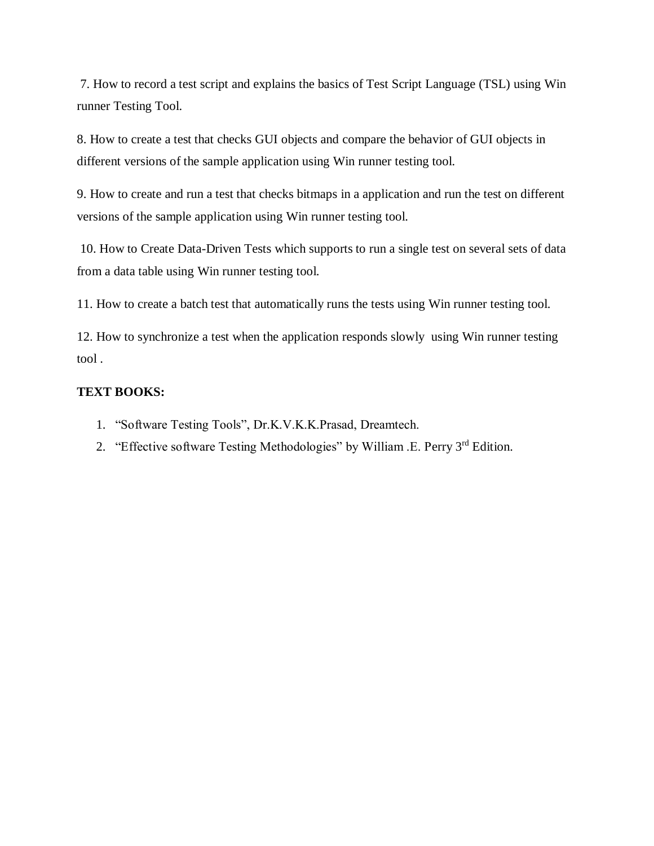7. How to record a test script and explains the basics of Test Script Language (TSL) using Win runner Testing Tool.

8. How to create a test that checks GUI objects and compare the behavior of GUI objects in different versions of the sample application using Win runner testing tool.

9. How to create and run a test that checks bitmaps in a application and run the test on different versions of the sample application using Win runner testing tool.

10. How to Create Data-Driven Tests which supports to run a single test on several sets of data from a data table using Win runner testing tool.

11. How to create a batch test that automatically runs the tests using Win runner testing tool.

12. How to synchronize a test when the application responds slowly using Win runner testing tool .

## **TEXT BOOKS:**

- 1. "Software Testing Tools", Dr.K.V.K.K.Prasad, Dreamtech.
- 2. "Effective software Testing Methodologies" by William .E. Perry 3<sup>rd</sup> Edition.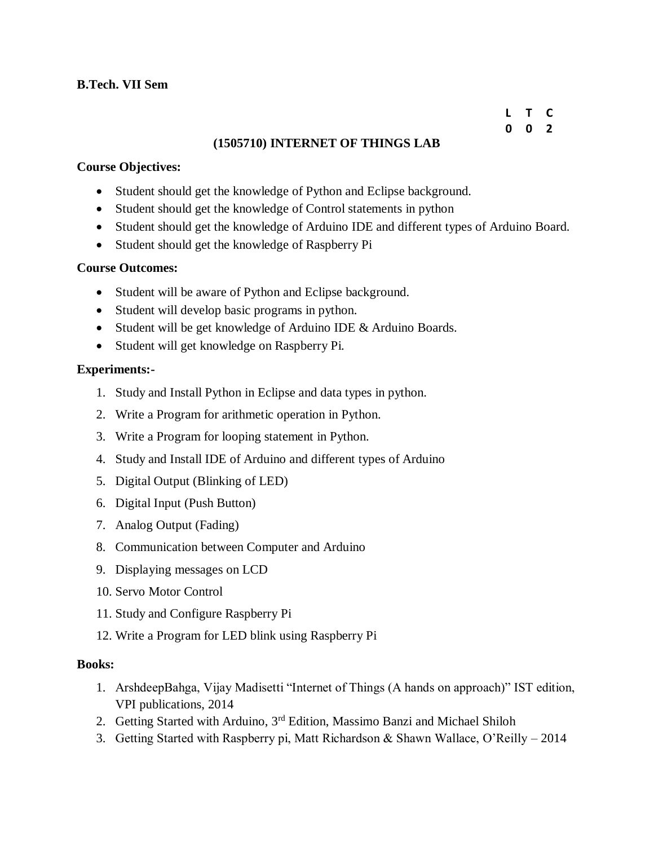## **B.Tech. VII Sem**

### **L T C 0 0 2**

## **(1505710) INTERNET OF THINGS LAB**

## **Course Objectives:**

- Student should get the knowledge of Python and Eclipse background.
- Student should get the knowledge of Control statements in python
- Student should get the knowledge of Arduino IDE and different types of Arduino Board.
- Student should get the knowledge of Raspberry Pi

### **Course Outcomes:**

- Student will be aware of Python and Eclipse background.
- Student will develop basic programs in python.
- Student will be get knowledge of Arduino IDE & Arduino Boards.
- Student will get knowledge on Raspberry Pi.

### **Experiments:-**

- 1. Study and Install Python in Eclipse and data types in python.
- 2. Write a Program for arithmetic operation in Python.
- 3. Write a Program for looping statement in Python.
- 4. Study and Install IDE of Arduino and different types of Arduino
- 5. Digital Output (Blinking of LED)
- 6. Digital Input (Push Button)
- 7. Analog Output (Fading)
- 8. Communication between Computer and Arduino
- 9. Displaying messages on LCD
- 10. Servo Motor Control
- 11. Study and Configure Raspberry Pi
- 12. Write a Program for LED blink using Raspberry Pi

### **Books:**

- 1. ArshdeepBahga, Vijay Madisetti "Internet of Things (A hands on approach)" IST edition, VPI publications, 2014
- 2. Getting Started with Arduino, 3<sup>rd</sup> Edition, Massimo Banzi and Michael Shiloh
- 3. Getting Started with Raspberry pi, Matt Richardson & Shawn Wallace, O'Reilly 2014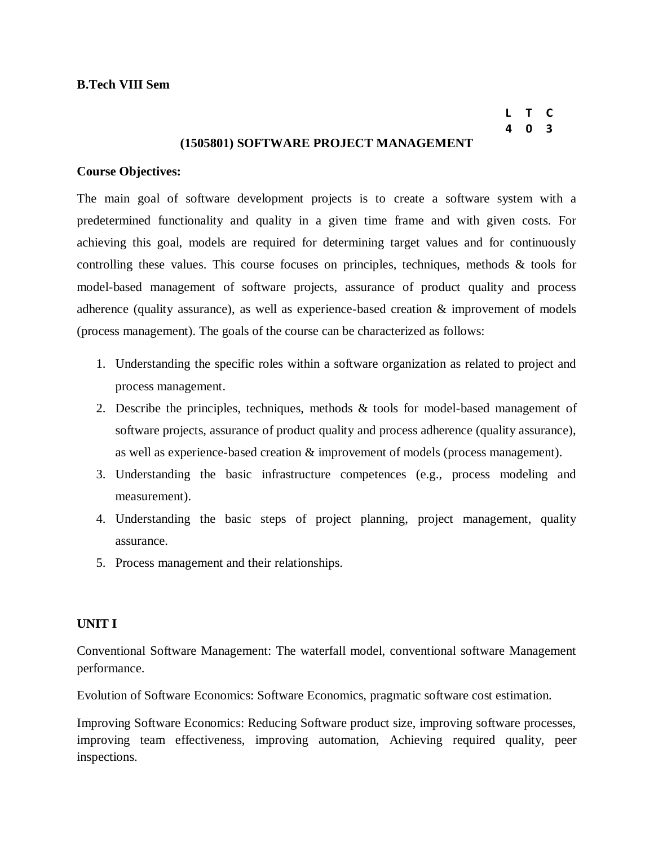**L T C 4 0 3**

### **(1505801) SOFTWARE PROJECT MANAGEMENT**

#### **Course Objectives:**

The main goal of software development projects is to create a software system with a predetermined functionality and quality in a given time frame and with given costs. For achieving this goal, models are required for determining target values and for continuously controlling these values. This course focuses on principles, techniques, methods & tools for model-based management of software projects, assurance of product quality and process adherence (quality assurance), as well as experience-based creation & improvement of models (process management). The goals of the course can be characterized as follows:

- 1. Understanding the specific roles within a software organization as related to project and process management.
- 2. Describe the principles, techniques, methods & tools for model-based management of software projects, assurance of product quality and process adherence (quality assurance), as well as experience-based creation & improvement of models (process management).
- 3. Understanding the basic infrastructure competences (e.g., process modeling and measurement).
- 4. Understanding the basic steps of project planning, project management, quality assurance.
- 5. Process management and their relationships.

#### **UNIT I**

Conventional Software Management: The waterfall model, conventional software Management performance.

Evolution of Software Economics: Software Economics, pragmatic software cost estimation.

Improving Software Economics: Reducing Software product size, improving software processes, improving team effectiveness, improving automation, Achieving required quality, peer inspections.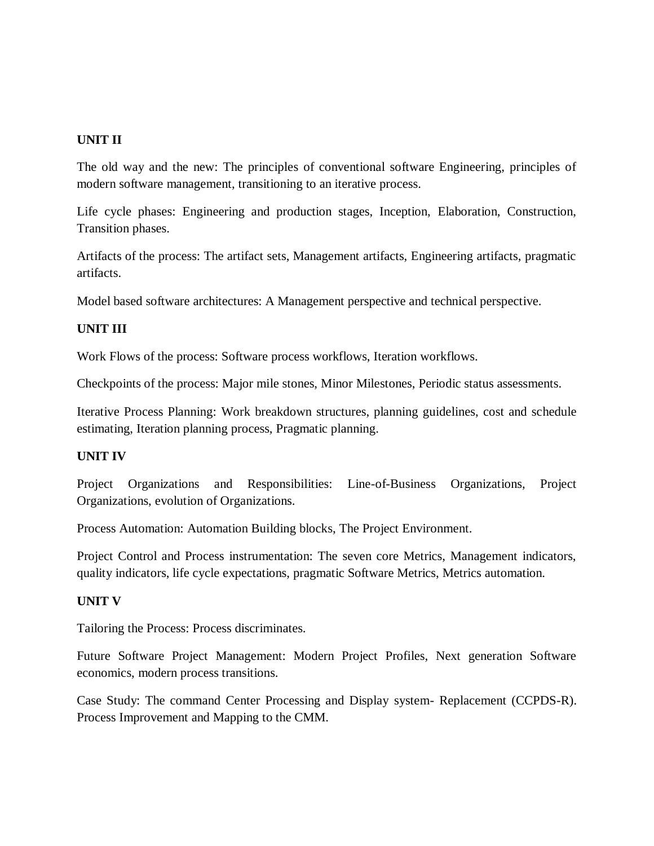## **UNIT II**

The old way and the new: The principles of conventional software Engineering, principles of modern software management, transitioning to an iterative process.

Life cycle phases: Engineering and production stages, Inception, Elaboration, Construction, Transition phases.

Artifacts of the process: The artifact sets, Management artifacts, Engineering artifacts, pragmatic artifacts.

Model based software architectures: A Management perspective and technical perspective.

## **UNIT III**

Work Flows of the process: Software process workflows, Iteration workflows.

Checkpoints of the process: Major mile stones, Minor Milestones, Periodic status assessments.

Iterative Process Planning: Work breakdown structures, planning guidelines, cost and schedule estimating, Iteration planning process, Pragmatic planning.

### **UNIT IV**

Project Organizations and Responsibilities: Line-of-Business Organizations, Project Organizations, evolution of Organizations.

Process Automation: Automation Building blocks, The Project Environment.

Project Control and Process instrumentation: The seven core Metrics, Management indicators, quality indicators, life cycle expectations, pragmatic Software Metrics, Metrics automation.

## **UNIT V**

Tailoring the Process: Process discriminates.

Future Software Project Management: Modern Project Profiles, Next generation Software economics, modern process transitions.

Case Study: The command Center Processing and Display system- Replacement (CCPDS-R). Process Improvement and Mapping to the CMM.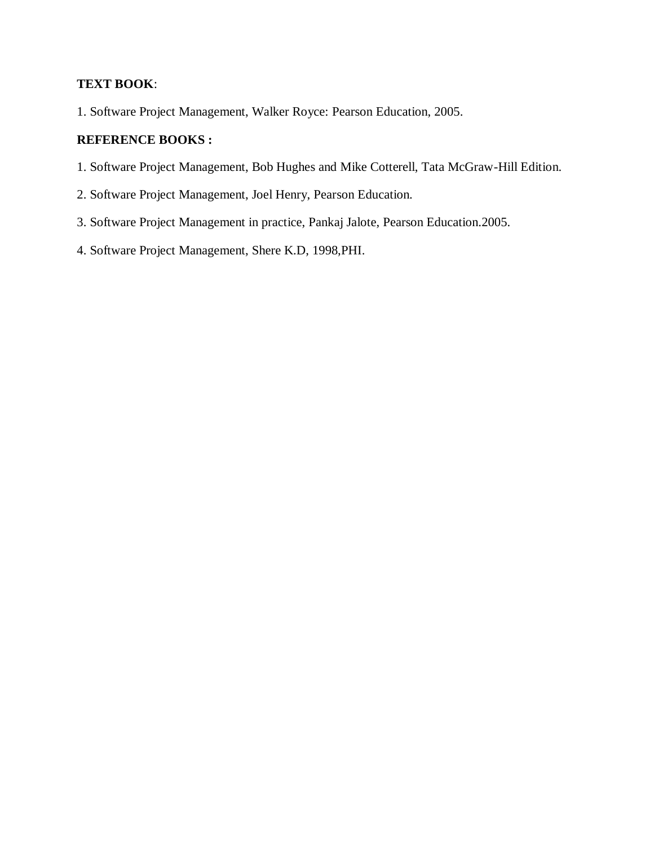## **TEXT BOOK**:

1. Software Project Management, Walker Royce: Pearson Education, 2005.

### **REFERENCE BOOKS :**

- 1. Software Project Management, Bob Hughes and Mike Cotterell, Tata McGraw-Hill Edition.
- 2. Software Project Management, Joel Henry, Pearson Education.
- 3. Software Project Management in practice, Pankaj Jalote, Pearson Education.2005.
- 4. Software Project Management, Shere K.D, 1998,PHI.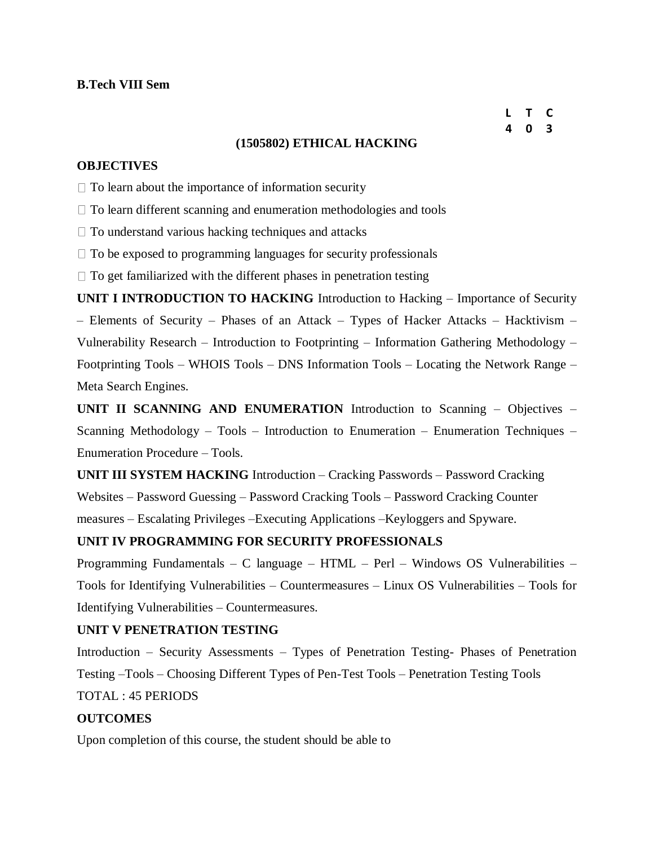#### **L T C 4 0 3**

### **(1505802) ETHICAL HACKING**

### **OBJECTIVES**

 $\Box$  To learn about the importance of information security

 $\Box$  To learn different scanning and enumeration methodologies and tools

 $\Box$  To understand various hacking techniques and attacks

 $\Box$  To be exposed to programming languages for security professionals

 $\Box$  To get familiarized with the different phases in penetration testing

**UNIT I INTRODUCTION TO HACKING** Introduction to Hacking – Importance of Security – Elements of Security – Phases of an Attack – Types of Hacker Attacks – Hacktivism – Vulnerability Research – Introduction to Footprinting – Information Gathering Methodology – Footprinting Tools – WHOIS Tools – DNS Information Tools – Locating the Network Range – Meta Search Engines.

**UNIT II SCANNING AND ENUMERATION** Introduction to Scanning – Objectives – Scanning Methodology – Tools – Introduction to Enumeration – Enumeration Techniques – Enumeration Procedure – Tools.

**UNIT III SYSTEM HACKING** Introduction – Cracking Passwords – Password Cracking Websites – Password Guessing – Password Cracking Tools – Password Cracking Counter measures – Escalating Privileges –Executing Applications –Keyloggers and Spyware.

### **UNIT IV PROGRAMMING FOR SECURITY PROFESSIONALS**

Programming Fundamentals – C language – HTML – Perl – Windows OS Vulnerabilities – Tools for Identifying Vulnerabilities – Countermeasures – Linux OS Vulnerabilities – Tools for Identifying Vulnerabilities – Countermeasures.

### **UNIT V PENETRATION TESTING**

Introduction – Security Assessments – Types of Penetration Testing- Phases of Penetration Testing –Tools – Choosing Different Types of Pen-Test Tools – Penetration Testing Tools TOTAL : 45 PERIODS

#### **OUTCOMES**

Upon completion of this course, the student should be able to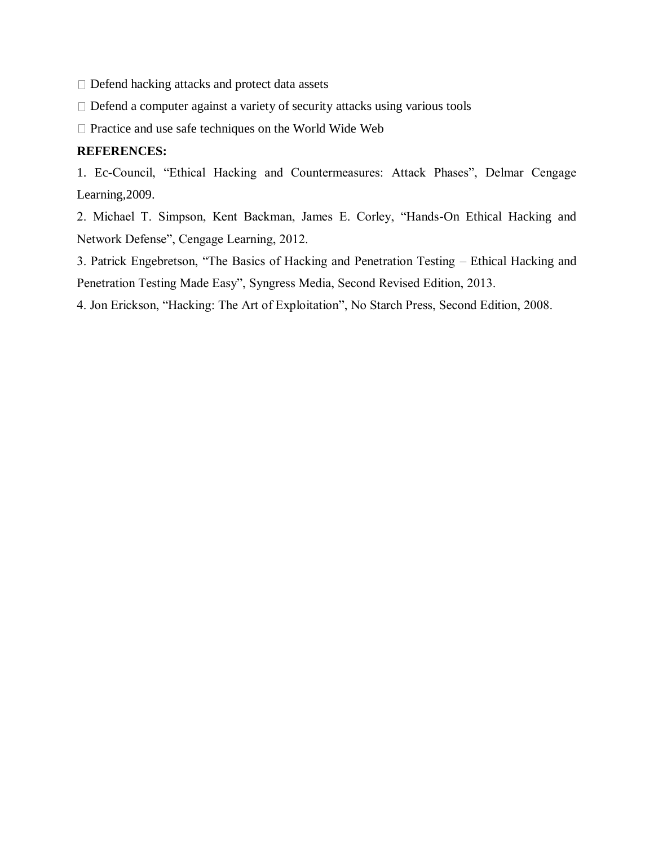$\Box$  Defend hacking attacks and protect data assets

 $\Box$  Defend a computer against a variety of security attacks using various tools

 $\Box$  Practice and use safe techniques on the World Wide Web

## **REFERENCES:**

1. Ec-Council, "Ethical Hacking and Countermeasures: Attack Phases", Delmar Cengage Learning,2009.

2. Michael T. Simpson, Kent Backman, James E. Corley, "Hands-On Ethical Hacking and Network Defense", Cengage Learning, 2012.

3. Patrick Engebretson, "The Basics of Hacking and Penetration Testing – Ethical Hacking and Penetration Testing Made Easy", Syngress Media, Second Revised Edition, 2013.

4. Jon Erickson, "Hacking: The Art of Exploitation", No Starch Press, Second Edition, 2008.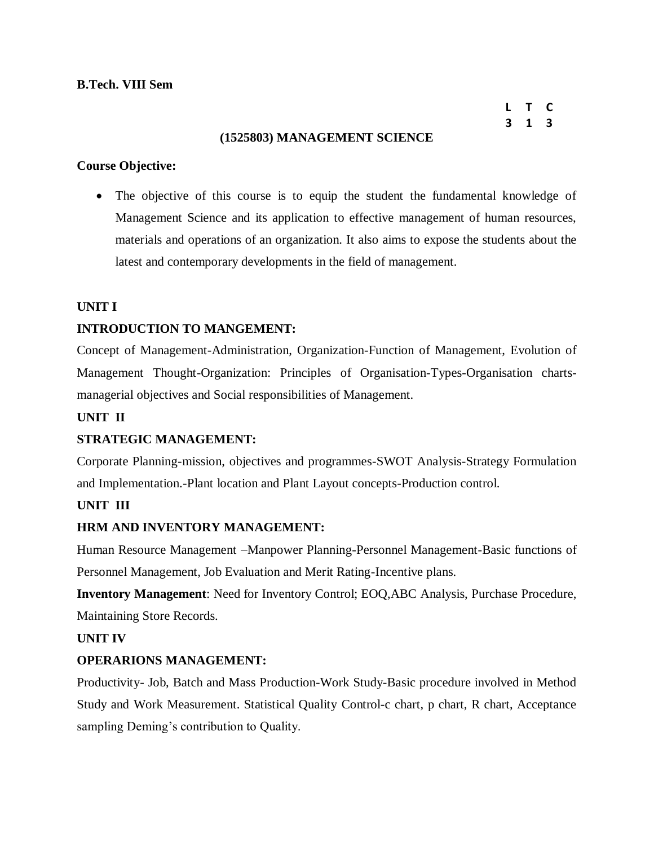## **B.Tech. VIII Sem**

**L T C 3 1 3**

### **(1525803) MANAGEMENT SCIENCE**

### **Course Objective:**

 The objective of this course is to equip the student the fundamental knowledge of Management Science and its application to effective management of human resources, materials and operations of an organization. It also aims to expose the students about the latest and contemporary developments in the field of management.

### **UNIT I**

### **INTRODUCTION TO MANGEMENT:**

Concept of Management-Administration, Organization-Function of Management, Evolution of Management Thought-Organization: Principles of Organisation-Types-Organisation chartsmanagerial objectives and Social responsibilities of Management.

### **UNIT II**

### **STRATEGIC MANAGEMENT:**

Corporate Planning-mission, objectives and programmes-SWOT Analysis-Strategy Formulation and Implementation.-Plant location and Plant Layout concepts-Production control.

### **UNIT III**

### **HRM AND INVENTORY MANAGEMENT:**

Human Resource Management –Manpower Planning-Personnel Management-Basic functions of Personnel Management, Job Evaluation and Merit Rating-Incentive plans.

**Inventory Management**: Need for Inventory Control; EOQ,ABC Analysis, Purchase Procedure, Maintaining Store Records.

### **UNIT IV**

### **OPERARIONS MANAGEMENT:**

Productivity- Job, Batch and Mass Production-Work Study-Basic procedure involved in Method Study and Work Measurement. Statistical Quality Control-c chart, p chart, R chart, Acceptance sampling Deming's contribution to Quality.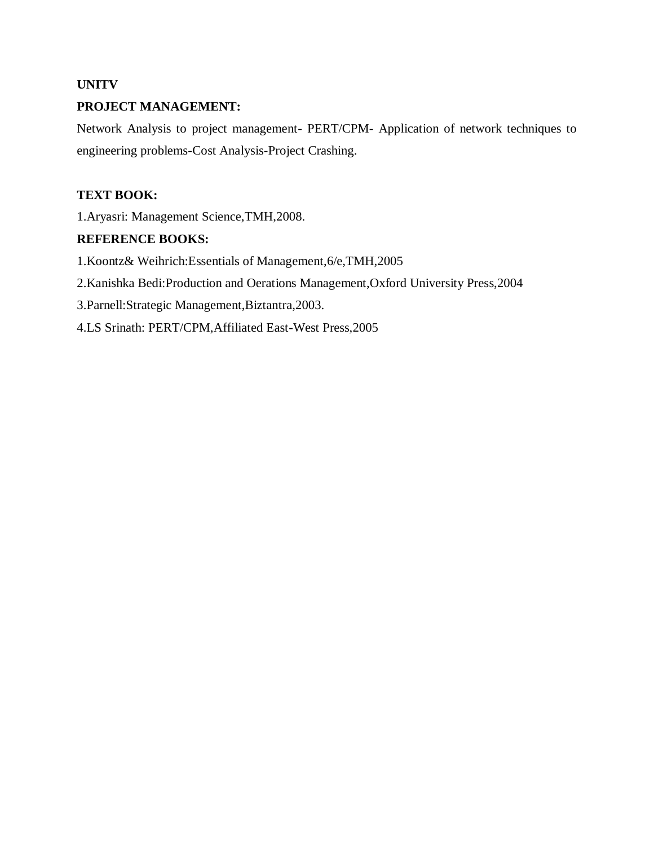## **UNITV**

## **PROJECT MANAGEMENT:**

Network Analysis to project management- PERT/CPM- Application of network techniques to engineering problems-Cost Analysis-Project Crashing.

## **TEXT BOOK:**

1.Aryasri: Management Science,TMH,2008.

## **REFERENCE BOOKS:**

1.Koontz& Weihrich:Essentials of Management,6/e,TMH,2005

2.Kanishka Bedi:Production and Oerations Management,Oxford University Press,2004

3.Parnell:Strategic Management,Biztantra,2003.

4.LS Srinath: PERT/CPM,Affiliated East-West Press,2005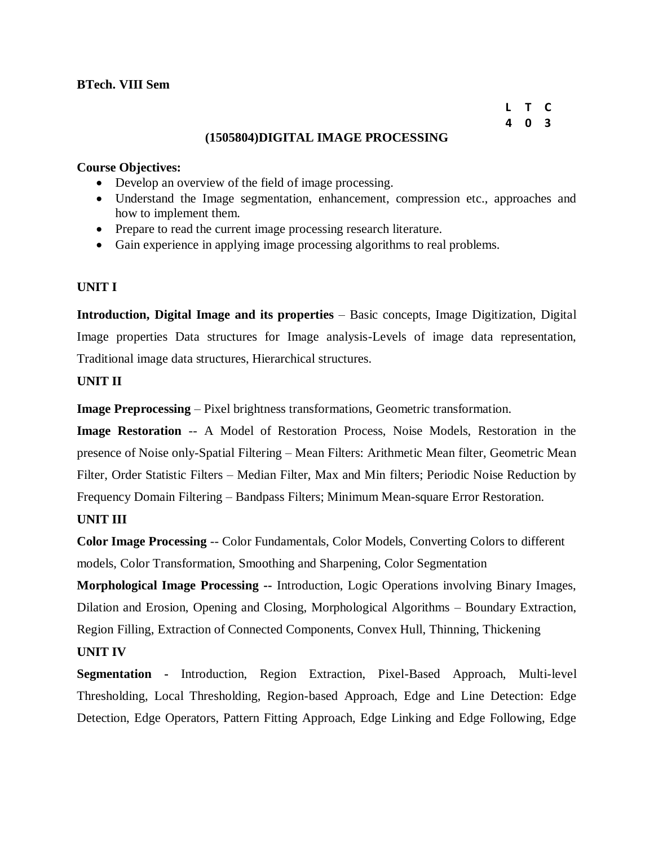### **BTech. VIII Sem**

#### **L T C 4 0 3**

### **(1505804)DIGITAL IMAGE PROCESSING**

### **Course Objectives:**

- Develop an overview of the field of image processing.
- Understand the Image segmentation, enhancement, compression etc., approaches and how to implement them.
- Prepare to read the current image processing research literature.
- Gain experience in applying image processing algorithms to real problems.

### **UNIT I**

**Introduction, Digital Image and its properties** – Basic concepts, Image Digitization, Digital Image properties Data structures for Image analysis-Levels of image data representation, Traditional image data structures, Hierarchical structures.

## **UNIT II**

**Image Preprocessing** – Pixel brightness transformations, Geometric transformation.

**Image Restoration** -- A Model of Restoration Process, Noise Models, Restoration in the presence of Noise only-Spatial Filtering – Mean Filters: Arithmetic Mean filter, Geometric Mean Filter, Order Statistic Filters – Median Filter, Max and Min filters; Periodic Noise Reduction by Frequency Domain Filtering – Bandpass Filters; Minimum Mean-square Error Restoration.

## **UNIT III**

**Color Image Processing** -- Color Fundamentals, Color Models, Converting Colors to different models, Color Transformation, Smoothing and Sharpening, Color Segmentation

**Morphological Image Processing --** Introduction, Logic Operations involving Binary Images, Dilation and Erosion, Opening and Closing, Morphological Algorithms – Boundary Extraction, Region Filling, Extraction of Connected Components, Convex Hull, Thinning, Thickening

## **UNIT IV**

**Segmentation -** Introduction, Region Extraction, Pixel-Based Approach, Multi-level Thresholding, Local Thresholding, Region-based Approach, Edge and Line Detection: Edge Detection, Edge Operators, Pattern Fitting Approach, Edge Linking and Edge Following, Edge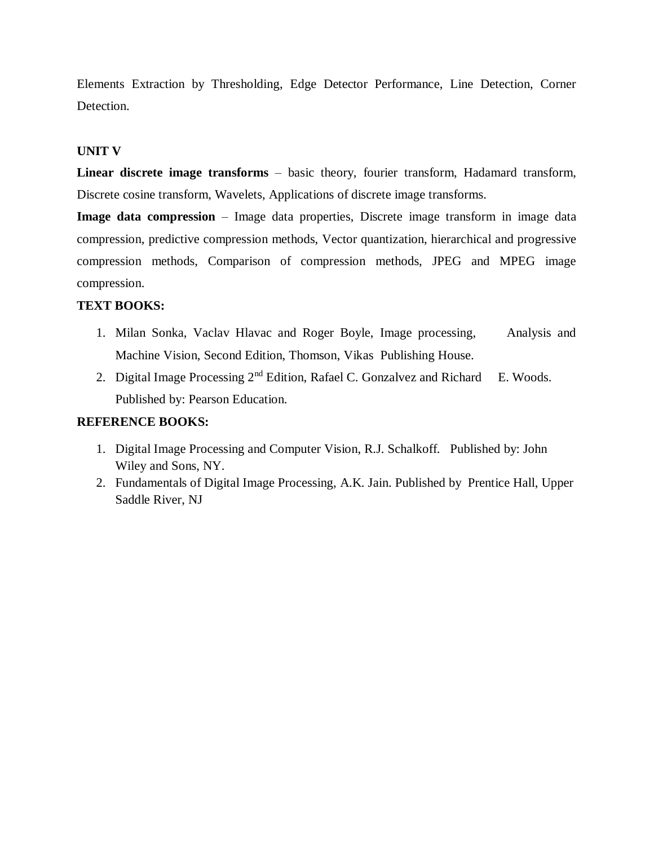Elements Extraction by Thresholding, Edge Detector Performance, Line Detection, Corner Detection.

### **UNIT V**

**Linear discrete image transforms** – basic theory, fourier transform, Hadamard transform, Discrete cosine transform, Wavelets, Applications of discrete image transforms.

**Image data compression** – Image data properties, Discrete image transform in image data compression, predictive compression methods, Vector quantization, hierarchical and progressive compression methods, Comparison of compression methods, JPEG and MPEG image compression.

### **TEXT BOOKS:**

- 1. Milan Sonka, Vaclav Hlavac and Roger Boyle, Image processing, Analysis and Machine Vision, Second Edition, Thomson, Vikas Publishing House.
- 2. Digital Image Processing  $2<sup>nd</sup>$  Edition, Rafael C. Gonzalvez and Richard E. Woods. Published by: Pearson Education.

## **REFERENCE BOOKS:**

- 1. Digital Image Processing and Computer Vision, R.J. Schalkoff. Published by: John Wiley and Sons, NY.
- 2. Fundamentals of Digital Image Processing, A.K. Jain. Published by Prentice Hall, Upper Saddle River, NJ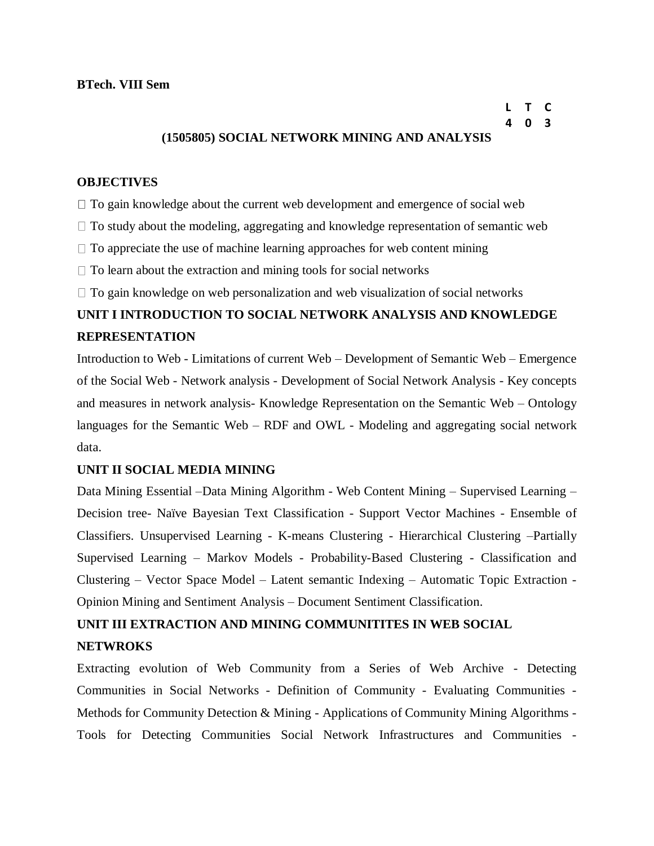## **(1505805) SOCIAL NETWORK MINING AND ANALYSIS**

### **OBJECTIVES**

 $\Box$  To gain knowledge about the current web development and emergence of social web

 $\Box$  To study about the modeling, aggregating and knowledge representation of semantic web

 $\Box$  To appreciate the use of machine learning approaches for web content mining

 $\Box$  To learn about the extraction and mining tools for social networks

 $\Box$  To gain knowledge on web personalization and web visualization of social networks

# **UNIT I INTRODUCTION TO SOCIAL NETWORK ANALYSIS AND KNOWLEDGE REPRESENTATION**

Introduction to Web - Limitations of current Web – Development of Semantic Web – Emergence of the Social Web - Network analysis - Development of Social Network Analysis - Key concepts and measures in network analysis- Knowledge Representation on the Semantic Web – Ontology languages for the Semantic Web – RDF and OWL - Modeling and aggregating social network data.

### **UNIT II SOCIAL MEDIA MINING**

Data Mining Essential –Data Mining Algorithm - Web Content Mining – Supervised Learning – Decision tree- Naïve Bayesian Text Classification - Support Vector Machines - Ensemble of Classifiers. Unsupervised Learning - K-means Clustering - Hierarchical Clustering –Partially Supervised Learning – Markov Models - Probability-Based Clustering - Classification and Clustering – Vector Space Model – Latent semantic Indexing – Automatic Topic Extraction - Opinion Mining and Sentiment Analysis – Document Sentiment Classification.

# **UNIT III EXTRACTION AND MINING COMMUNITITES IN WEB SOCIAL NETWROKS**

Extracting evolution of Web Community from a Series of Web Archive - Detecting Communities in Social Networks - Definition of Community - Evaluating Communities - Methods for Community Detection & Mining - Applications of Community Mining Algorithms - Tools for Detecting Communities Social Network Infrastructures and Communities -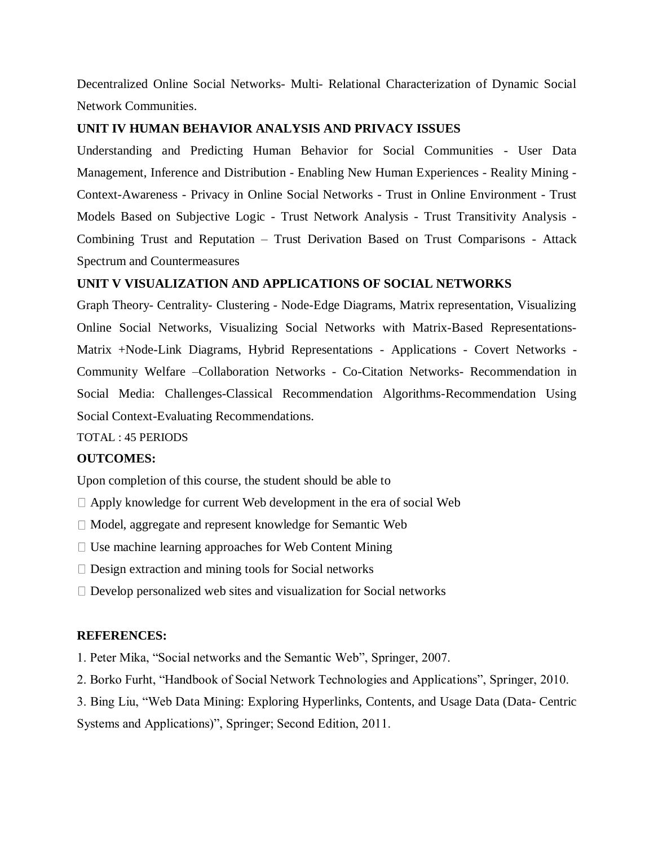Decentralized Online Social Networks- Multi- Relational Characterization of Dynamic Social Network Communities.

### **UNIT IV HUMAN BEHAVIOR ANALYSIS AND PRIVACY ISSUES**

Understanding and Predicting Human Behavior for Social Communities - User Data Management, Inference and Distribution - Enabling New Human Experiences - Reality Mining - Context-Awareness - Privacy in Online Social Networks - Trust in Online Environment - Trust Models Based on Subjective Logic - Trust Network Analysis - Trust Transitivity Analysis - Combining Trust and Reputation – Trust Derivation Based on Trust Comparisons - Attack Spectrum and Countermeasures

### **UNIT V VISUALIZATION AND APPLICATIONS OF SOCIAL NETWORKS**

Graph Theory- Centrality- Clustering - Node-Edge Diagrams, Matrix representation, Visualizing Online Social Networks, Visualizing Social Networks with Matrix-Based Representations-Matrix +Node-Link Diagrams, Hybrid Representations - Applications - Covert Networks - Community Welfare –Collaboration Networks - Co-Citation Networks- Recommendation in Social Media: Challenges-Classical Recommendation Algorithms-Recommendation Using Social Context-Evaluating Recommendations.

TOTAL : 45 PERIODS

### **OUTCOMES:**

Upon completion of this course, the student should be able to

- $\Box$  Apply knowledge for current Web development in the era of social Web
- Model, aggregate and represent knowledge for Semantic Web
- $\Box$  Use machine learning approaches for Web Content Mining
- $\square$  Design extraction and mining tools for Social networks
- $\Box$  Develop personalized web sites and visualization for Social networks

### **REFERENCES:**

1. Peter Mika, "Social networks and the Semantic Web", Springer, 2007.

2. Borko Furht, "Handbook of Social Network Technologies and Applications", Springer, 2010.

3. Bing Liu, "Web Data Mining: Exploring Hyperlinks, Contents, and Usage Data (Data- Centric

Systems and Applications)", Springer; Second Edition, 2011.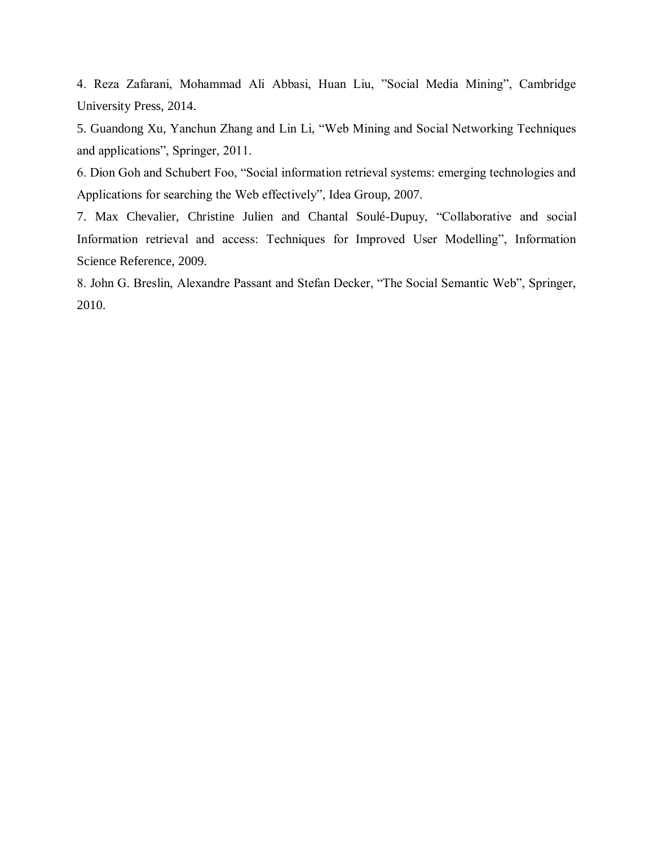4. Reza Zafarani, Mohammad Ali Abbasi, Huan Liu, "Social Media Mining", Cambridge University Press, 2014.

5. Guandong Xu, Yanchun Zhang and Lin Li, "Web Mining and Social Networking Techniques and applications", Springer, 2011.

6. Dion Goh and Schubert Foo, "Social information retrieval systems: emerging technologies and Applications for searching the Web effectively", Idea Group, 2007.

7. Max Chevalier, Christine Julien and Chantal Soulé-Dupuy, "Collaborative and social Information retrieval and access: Techniques for Improved User Modelling", Information Science Reference, 2009.

8. John G. Breslin, Alexandre Passant and Stefan Decker, "The Social Semantic Web", Springer, 2010.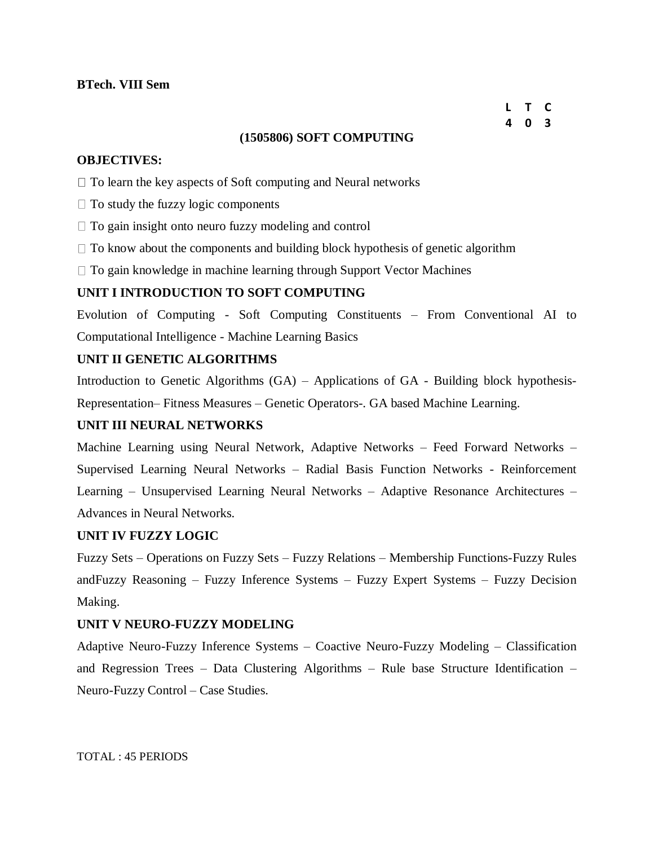#### **L T C 4 0 3**

### **(1505806) SOFT COMPUTING**

### **OBJECTIVES:**

 $\Box$  To learn the key aspects of Soft computing and Neural networks

- $\Box$  To study the fuzzy logic components
- $\Box$  To gain insight onto neuro fuzzy modeling and control
- $\Box$  To know about the components and building block hypothesis of genetic algorithm
- $\Box$  To gain knowledge in machine learning through Support Vector Machines

### **UNIT I INTRODUCTION TO SOFT COMPUTING**

Evolution of Computing - Soft Computing Constituents – From Conventional AI to Computational Intelligence - Machine Learning Basics

### **UNIT II GENETIC ALGORITHMS**

Introduction to Genetic Algorithms (GA) – Applications of GA - Building block hypothesis-Representation– Fitness Measures – Genetic Operators-. GA based Machine Learning.

### **UNIT III NEURAL NETWORKS**

Machine Learning using Neural Network, Adaptive Networks – Feed Forward Networks – Supervised Learning Neural Networks – Radial Basis Function Networks - Reinforcement Learning – Unsupervised Learning Neural Networks – Adaptive Resonance Architectures – Advances in Neural Networks.

### **UNIT IV FUZZY LOGIC**

Fuzzy Sets – Operations on Fuzzy Sets – Fuzzy Relations – Membership Functions-Fuzzy Rules andFuzzy Reasoning – Fuzzy Inference Systems – Fuzzy Expert Systems – Fuzzy Decision Making.

### **UNIT V NEURO-FUZZY MODELING**

Adaptive Neuro-Fuzzy Inference Systems – Coactive Neuro-Fuzzy Modeling – Classification and Regression Trees – Data Clustering Algorithms – Rule base Structure Identification – Neuro-Fuzzy Control – Case Studies.

TOTAL : 45 PERIODS